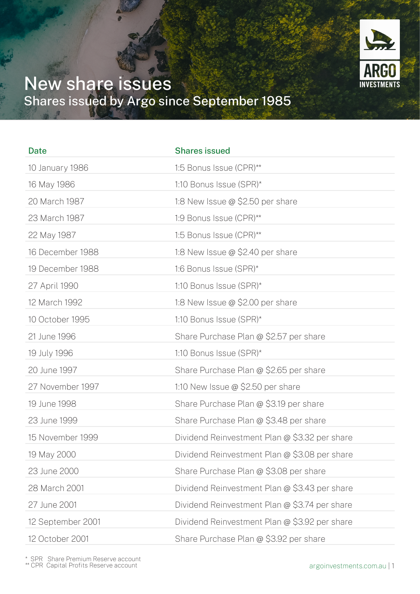

## New share issues Shares issued by Argo since September 1985

| <b>Date</b>       | <b>Shares issued</b>                          |
|-------------------|-----------------------------------------------|
| 10 January 1986   | 1:5 Bonus Issue (CPR)**                       |
| 16 May 1986       | 1:10 Bonus Issue (SPR)*                       |
| 20 March 1987     | 1:8 New Issue $@$ \$2.50 per share            |
| 23 March 1987     | 1:9 Bonus Issue (CPR)**                       |
| 22 May 1987       | 1:5 Bonus Issue (CPR)**                       |
| 16 December 1988  | 1:8 New Issue $@$ \$2.40 per share            |
| 19 December 1988  | 1:6 Bonus Issue (SPR)*                        |
| 27 April 1990     | 1:10 Bonus Issue (SPR)*                       |
| 12 March 1992     | 1:8 New Issue $\omega$ \$2.00 per share       |
| 10 October 1995   | 1:10 Bonus Issue (SPR)*                       |
| 21 June 1996      | Share Purchase Plan @ \$2.57 per share        |
| 19 July 1996      | 1:10 Bonus Issue (SPR)*                       |
| 20 June 1997      | Share Purchase Plan @ \$2.65 per share        |
| 27 November 1997  | 1:10 New Issue $\omega$ \$2.50 per share      |
| 19 June 1998      | Share Purchase Plan @ \$3.19 per share        |
| 23 June 1999      | Share Purchase Plan @ \$3.48 per share        |
| 15 November 1999  | Dividend Reinvestment Plan @ \$3.32 per share |
| 19 May 2000       | Dividend Reinvestment Plan @ \$3.08 per share |
| 23 June 2000      | Share Purchase Plan @ \$3.08 per share        |
| 28 March 2001     | Dividend Reinvestment Plan @ \$3.43 per share |
| 27 June 2001      | Dividend Reinvestment Plan @ \$3.74 per share |
| 12 September 2001 | Dividend Reinvestment Plan @ \$3.92 per share |
| 12 October 2001   | Share Purchase Plan @ \$3.92 per share        |

\* SPR Share Premium Reserve account \*\* CPR Capital Profits Reserve account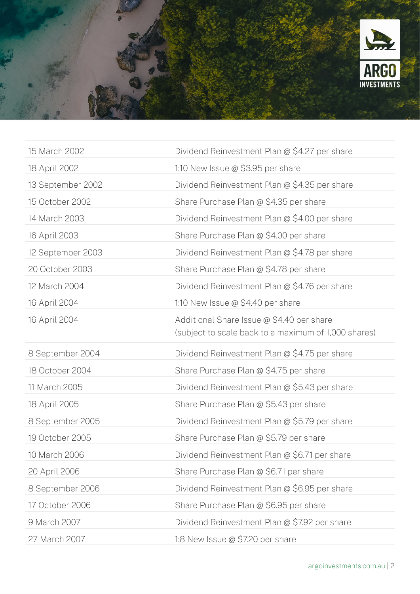

| 15 March 2002     | Dividend Reinvestment Plan @ \$4.27 per share                                                     |
|-------------------|---------------------------------------------------------------------------------------------------|
| 18 April 2002     | 1:10 New Issue $\omega$ \$3.95 per share                                                          |
| 13 September 2002 | Dividend Reinvestment Plan @ \$4.35 per share                                                     |
| 15 October 2002   | Share Purchase Plan @ \$4.35 per share                                                            |
| 14 March 2003     | Dividend Reinvestment Plan @ \$4.00 per share                                                     |
| 16 April 2003     | Share Purchase Plan @ \$4.00 per share                                                            |
| 12 September 2003 | Dividend Reinvestment Plan @ \$4.78 per share                                                     |
| 20 October 2003   | Share Purchase Plan @ \$4.78 per share                                                            |
| 12 March 2004     | Dividend Reinvestment Plan @ \$4.76 per share                                                     |
| 16 April 2004     | 1:10 New Issue $\omega$ \$4.40 per share                                                          |
| 16 April 2004     | Additional Share Issue @ \$4.40 per share<br>(subject to scale back to a maximum of 1,000 shares) |
|                   |                                                                                                   |
| 8 September 2004  | Dividend Reinvestment Plan @ \$4.75 per share                                                     |
| 18 October 2004   | Share Purchase Plan @ \$4.75 per share                                                            |
| 11 March 2005     | Dividend Reinvestment Plan @ \$5.43 per share                                                     |
| 18 April 2005     | Share Purchase Plan @ \$5.43 per share                                                            |
| 8 September 2005  | Dividend Reinvestment Plan @ \$5.79 per share                                                     |
| 19 October 2005   | Share Purchase Plan @ \$5.79 per share                                                            |
| 10 March 2006     | Dividend Reinvestment Plan @ \$6.71 per share                                                     |
| 20 April 2006     | Share Purchase Plan @ \$6.71 per share                                                            |
| 8 September 2006  | Dividend Reinvestment Plan @ \$6.95 per share                                                     |
| 17 October 2006   | Share Purchase Plan @ \$6.95 per share                                                            |
| 9 March 2007      | Dividend Reinvestment Plan @ \$7.92 per share                                                     |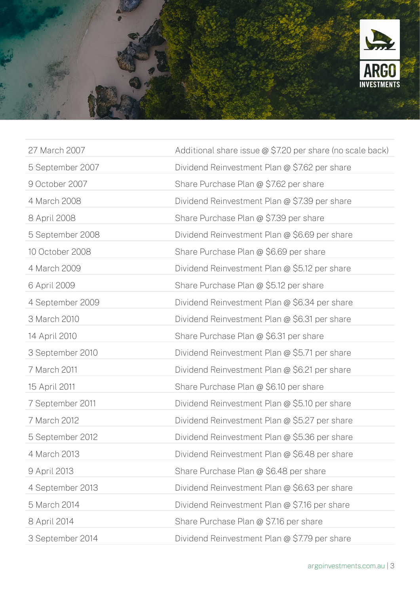

| 27 March 2007    | Additional share issue @ \$7.20 per share (no scale back) |
|------------------|-----------------------------------------------------------|
| 5 September 2007 | Dividend Reinvestment Plan @ \$7.62 per share             |
| 9 October 2007   | Share Purchase Plan @ \$7.62 per share                    |
| 4 March 2008     | Dividend Reinvestment Plan @ \$7.39 per share             |
| 8 April 2008     | Share Purchase Plan @ \$7.39 per share                    |
| 5 September 2008 | Dividend Reinvestment Plan @ \$6.69 per share             |
| 10 October 2008  | Share Purchase Plan @ \$6.69 per share                    |
| 4 March 2009     | Dividend Reinvestment Plan @ \$5.12 per share             |
| 6 April 2009     | Share Purchase Plan @ \$5.12 per share                    |
| 4 September 2009 | Dividend Reinvestment Plan @ \$6.34 per share             |
| 3 March 2010     | Dividend Reinvestment Plan @ \$6.31 per share             |
| 14 April 2010    | Share Purchase Plan @ \$6.31 per share                    |
| 3 September 2010 | Dividend Reinvestment Plan @ \$5.71 per share             |
| 7 March 2011     | Dividend Reinvestment Plan @ \$6.21 per share             |
| 15 April 2011    | Share Purchase Plan @ \$6.10 per share                    |
| 7 September 2011 | Dividend Reinvestment Plan @ \$5.10 per share             |
| 7 March 2012     | Dividend Reinvestment Plan @ \$5.27 per share             |
| 5 September 2012 | Dividend Reinvestment Plan @ \$5.36 per share             |
| 4 March 2013     | Dividend Reinvestment Plan @ \$6.48 per share             |
| 9 April 2013     | Share Purchase Plan @ \$6.48 per share                    |
| 4 September 2013 | Dividend Reinvestment Plan @ \$6.63 per share             |
| 5 March 2014     | Dividend Reinvestment Plan @ \$7.16 per share             |
| 8 April 2014     | Share Purchase Plan @ \$7.16 per share                    |
| 3 September 2014 | Dividend Reinvestment Plan @ \$7.79 per share             |